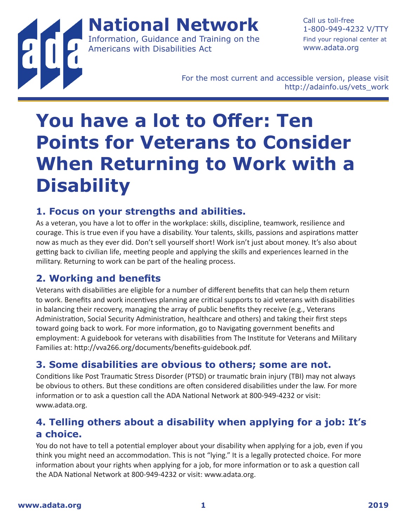**National Network** Information, Guidance and Training on the

Americans with Disabilities Act

Call us toll-free 1-800-949-4232 V/TTY Find your regional center at www.adata.org

For the most current and accessible version, please visit http://adainfo.us/vets\_work

# **You have a lot to Offer: Ten Points for Veterans to Consider When Returning to Work with a Disability**

#### **1. Focus on your strengths and abilities.**

As a veteran, you have a lot to offer in the workplace: skills, discipline, teamwork, resilience and courage. This is true even if you have a disability. Your talents, skills, passions and aspirations matter now as much as they ever did. Don't sell yourself short! Work isn't just about money. It's also about getting back to civilian life, meeting people and applying the skills and experiences learned in the military. Returning to work can be part of the healing process.

# **2. Working and benefits**

Veterans with disabilities are eligible for a number of different benefits that can help them return to work. Benefits and work incentives planning are critical supports to aid veterans with disabilities in balancing their recovery, managing the array of public benefits they receive (e.g., Veterans Administration, Social Security Administration, healthcare and others) and taking their first steps toward going back to work. For more information, go to Navigating government benefits and employment: A guidebook for veterans with disabilities from The Institute for Veterans and Military Families at: http://vva266.org/documents/benefits-guidebook.pdf.

# **3. Some disabilities are obvious to others; some are not.**

Conditions like Post Traumatic Stress Disorder (PTSD) or traumatic brain injury (TBI) may not always be obvious to others. But these conditions are often considered disabilities under the law. For more information or to ask a question call the ADA National Network at 800-949-4232 or visit: www.adata.org.

### **4. Telling others about a disability when applying for a job: It's a choice.**

You do not have to tell a potential employer about your disability when applying for a job, even if you think you might need an accommodation. This is not "lying." It is a legally protected choice. For more information about your rights when applying for a job, for more information or to ask a question call the ADA National Network at 800-949-4232 or visit: www.adata.org.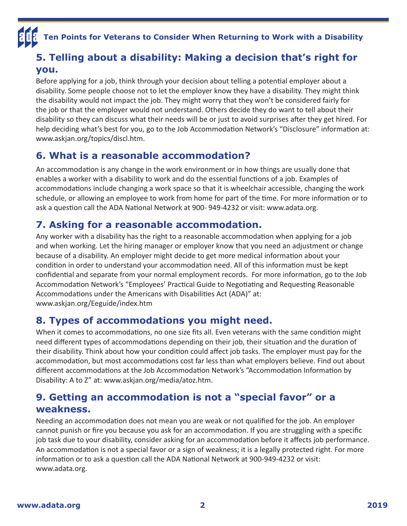# **Ten Points for Veterans to Consider When Returning to Work with a Disability**

#### **5. Telling about a disability: Making a decision that's right for you.**

Before applying for a job, think through your decision about telling a potential employer about a disability. Some people choose not to let the employer know they have a disability. They might think the disability would not impact the job. They might worry that they won't be considered fairly for the job or that the employer would not understand. Others decide they do want to tell about their disability so they can discuss what their needs will be or just to avoid surprises after they get hired. For help deciding what's best for you, go to the Job Accommodation Network's "Disclosure" information at: www.askjan.org/topics/discl.htm.

### **6. What is a reasonable accommodation?**

An accommodation is any change in the work environment or in how things are usually done that enables a worker with a disability to work and do the essential functions of a job. Examples of accommodations include changing a work space so that it is wheelchair accessible, changing the work schedule, or allowing an employee to work from home for part of the time. For more information or to ask a question call the ADA National Network at 900- 949-4232 or visit: www.adata.org.

# **7. Asking for a reasonable accommodation.**

Any worker with a disability has the right to a reasonable accommodation when applying for a job and when working. Let the hiring manager or employer know that you need an adjustment or change because of a disability. An employer might decide to get more medical information about your condition in order to understand your accommodation need. All of this information must be kept confidential and separate from your normal employment records. For more information, go to the Job Accommodation Network's "Employees' Practical Guide to Negotiating and Requesting Reasonable Accommodations under the Americans with Disabilities Act (ADA)" at: www.askjan.org/Eeguide/index.htm

#### **8. Types of accommodations you might need.**

When it comes to accommodations, no one size fits all. Even veterans with the same condition might need different types of accommodations depending on their job, their situation and the duration of their disability. Think about how your condition could affect job tasks. The employer must pay for the accommodation, but most accommodations cost far less than what employers believe. Find out about different accommodations at the Job Accommodation Network's "Accommodation Information by Disability: A to Z" at: www.askjan.org/media/atoz.htm.

#### **9. Getting an accommodation is not a "special favor" or a weakness.**

Needing an accommodation does not mean you are weak or not qualified for the job. An employer cannot punish or fire you because you ask for an accommodation. If you are struggling with a specific job task due to your disability, consider asking for an accommodation before it affects job performance. An accommodation is not a special favor or a sign of weakness; it is a legally protected right. For more information or to ask a question call the ADA National Network at 900-949-4232 or visit: www.adata.org.